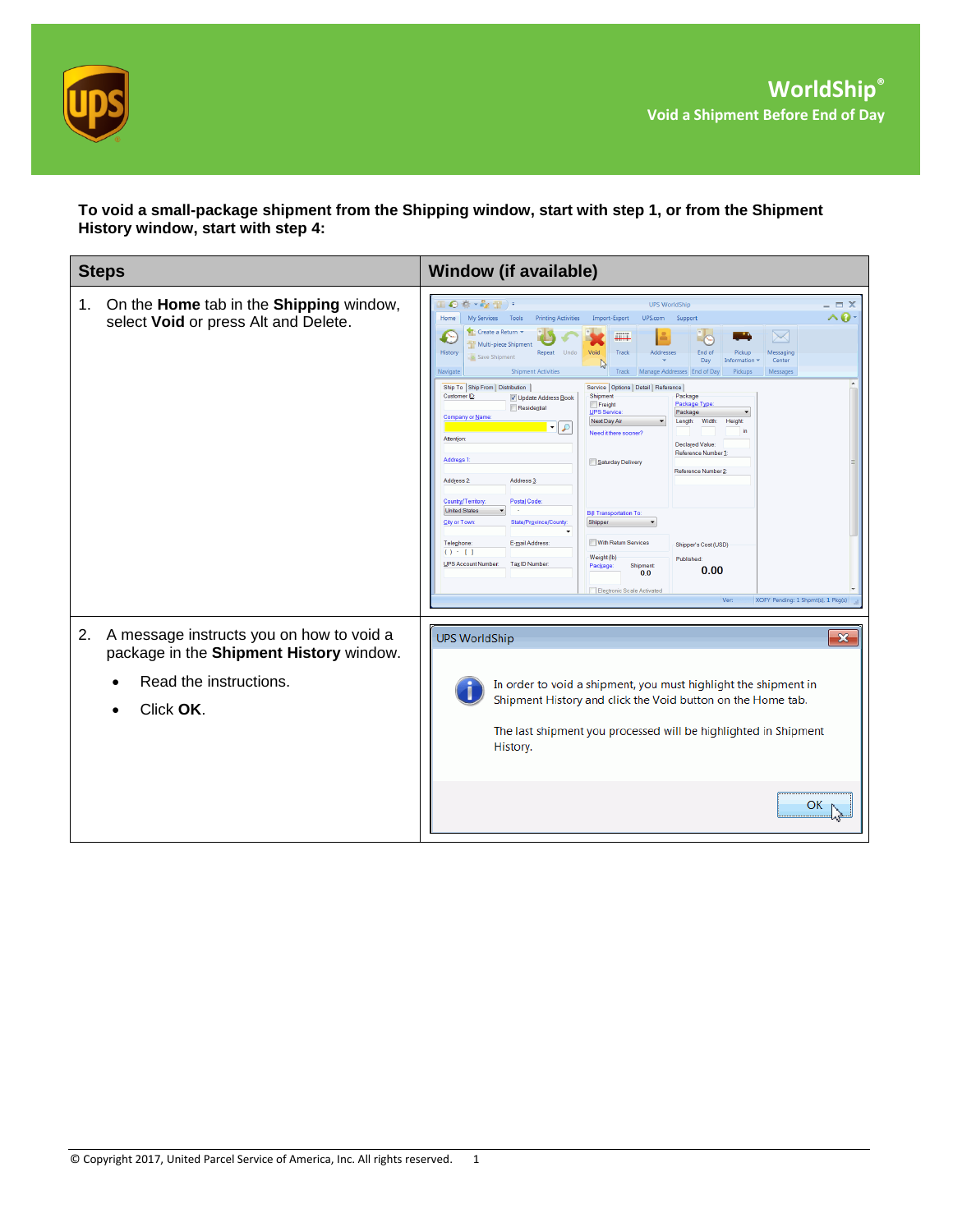

**To void a small-package shipment from the Shipping window, start with step 1, or from the Shipment History window, start with step 4:**

| <b>Steps</b>                                                                                                                     | <b>Window (if available)</b>                                                                                                                                                                                                                                                                                                                                                                                                                                                                                                                                                                                                                                                                                                                                                                                                                                                                                                                                                                                                                                                                                                                                                                                                                                                                                                                                                                                                    |
|----------------------------------------------------------------------------------------------------------------------------------|---------------------------------------------------------------------------------------------------------------------------------------------------------------------------------------------------------------------------------------------------------------------------------------------------------------------------------------------------------------------------------------------------------------------------------------------------------------------------------------------------------------------------------------------------------------------------------------------------------------------------------------------------------------------------------------------------------------------------------------------------------------------------------------------------------------------------------------------------------------------------------------------------------------------------------------------------------------------------------------------------------------------------------------------------------------------------------------------------------------------------------------------------------------------------------------------------------------------------------------------------------------------------------------------------------------------------------------------------------------------------------------------------------------------------------|
| On the Home tab in the Shipping window,<br>1.<br>select Void or press Alt and Delete.                                            | Ⅲ◎※・☆☆)・<br><b>UPS WorldShip</b><br>$\triangle$ Q<br>Home<br>My Services<br>Tools<br><b>Printing Activities</b><br>Import-Export<br>UPS.com<br>Support<br>Create a Return<br>$\times$<br>£<br>m<br>Multi-piece Shipment<br>History<br>Track<br>Addresses<br>End of<br>Pickup<br>Repeat Undo<br>Void<br>Messaging<br>Save Shipment<br>Day<br>Center<br>Information<br><b>Shipment Activities</b><br>Navigate<br>Track Manage Addresses End of Day<br><b>Pickups</b><br>Messages<br>Ship To Ship From Distribution<br>Service   Options   Detail   Reference<br>Customer ID:<br>Shipment<br>Package<br>V Update Address Book<br>Package Type<br>Freight<br>Residential<br>UPS Service:<br>Package<br>Company or Name:<br>Next Day Air<br>Width:<br>Height<br>Length:<br>$\mathbf{F}$<br>in<br>Need it there sooner?<br><b>Attention</b><br>Declared Value:<br>Reference Number 1<br>Address <sub>1</sub><br>Saturday Delivery<br>Reference Number 2<br>Address 2:<br>Address <sub>3</sub><br>Country/Territory<br>Postal Code:<br><b>United States</b><br><b>Bill Transportation To:</b><br>City or Town:<br>State/Province/County<br>Shipper<br>With Return Services<br>Telephone:<br>E-mail Address:<br>Shipper's Cost (USD)<br>$() - 1$<br>Weight (lb)<br>Published:<br>UPS Account Number:<br>Tax ID Number<br>Shipment<br>Package<br>0.00<br>0.0<br>Electronic Scale Activated<br>Ver:<br>XOFY Pending: 1 Shpmt(s), 1 Pkg(s) |
| A message instructs you on how to void a<br>2.<br>package in the Shipment History window.<br>Read the instructions.<br>Click OK. | <b>UPS WorldShip</b><br>$\mathbf{x}$<br>In order to void a shipment, you must highlight the shipment in<br>Shipment History and click the Void button on the Home tab.<br>The last shipment you processed will be highlighted in Shipment<br>History.<br>OK.                                                                                                                                                                                                                                                                                                                                                                                                                                                                                                                                                                                                                                                                                                                                                                                                                                                                                                                                                                                                                                                                                                                                                                    |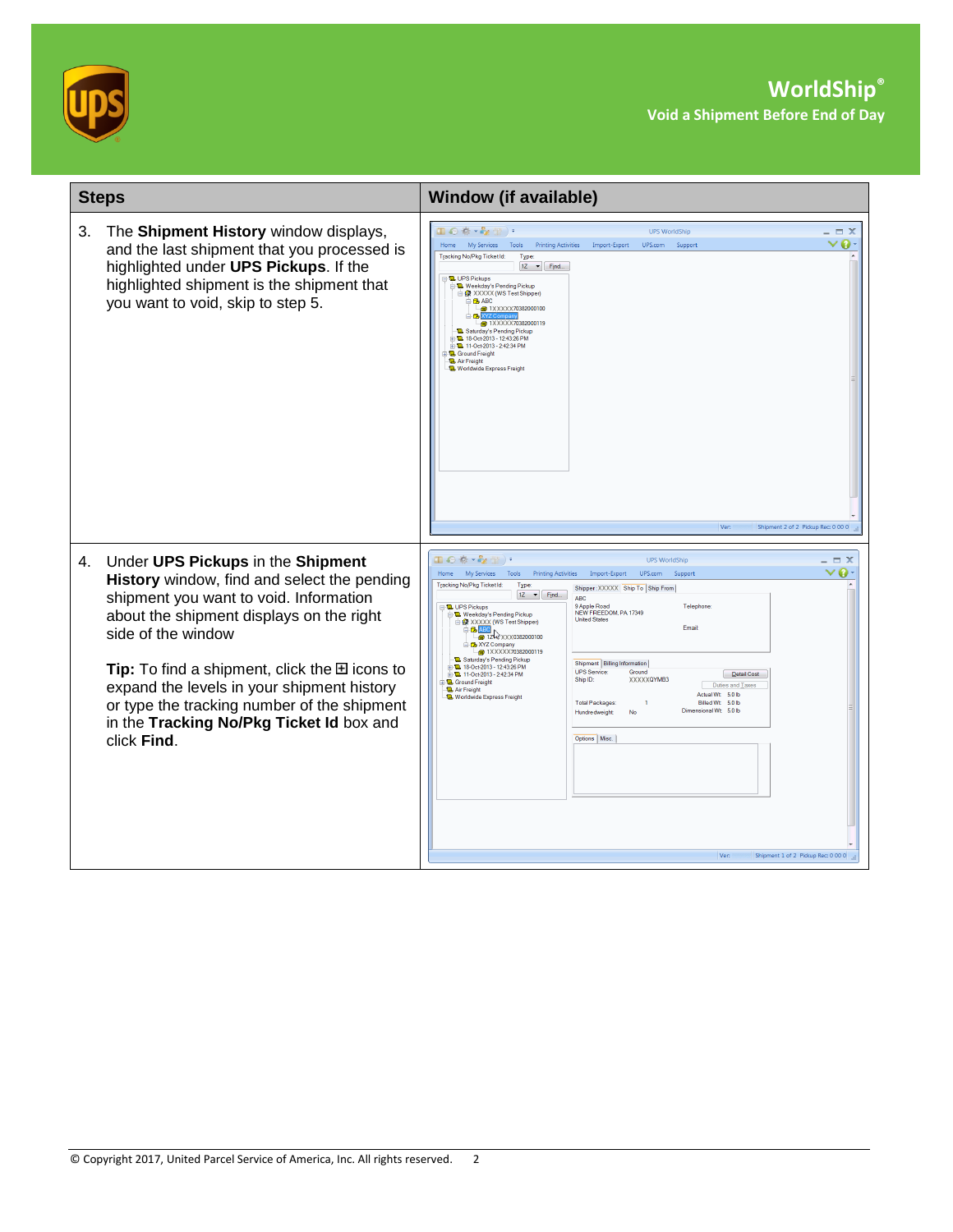



| <b>Steps</b>                                                                                                                                                                                                                                                                                                                                                                                                                | <b>Window (if available)</b>                                                                                                                                                                                                                                                                                                                                                                                                                                                                                                                                                                                                                                                                                                                                                                                                                                                                                                                                                                                                                         |
|-----------------------------------------------------------------------------------------------------------------------------------------------------------------------------------------------------------------------------------------------------------------------------------------------------------------------------------------------------------------------------------------------------------------------------|------------------------------------------------------------------------------------------------------------------------------------------------------------------------------------------------------------------------------------------------------------------------------------------------------------------------------------------------------------------------------------------------------------------------------------------------------------------------------------------------------------------------------------------------------------------------------------------------------------------------------------------------------------------------------------------------------------------------------------------------------------------------------------------------------------------------------------------------------------------------------------------------------------------------------------------------------------------------------------------------------------------------------------------------------|
| 3.<br>The Shipment History window displays,<br>and the last shipment that you processed is<br>highlighted under UPS Pickups. If the<br>highlighted shipment is the shipment that<br>you want to void, skip to step 5.                                                                                                                                                                                                       | 国の春・み合う<br><b>UPS WorldShip</b><br>$\equiv$ $\times$<br>My Services Tools Printing Activities Import-Export UPS.com<br>Home<br>Support<br>Tracking No/Pkg TicketId:<br>Type:<br>$12 \rightarrow$ Find<br><b>B</b> UPS Pickups<br>Weekday's Pending Pickup<br>AXXXX (WS Test Shipper)<br><b>B</b> ABC<br>$\frac{1}{2}$ 1XXXXX70382000100<br>≐o⊌l<br>$-60$ 1XXXXX70382000119<br>Saturday's Pending Pickup<br><b>E. D.</b> 18-Oct-2013 - 12:43:26 PM<br><b>E. B.</b> 11-Oct-2013 - 2:42:34 PM<br><b>B</b> Ground Freight<br><b>D.</b> Air Freight<br>Worldwide Express Freight<br>Shipment 2 of 2 Pickup Rec: 0 00 0<br>Ver:                                                                                                                                                                                                                                                                                                                                                                                                                            |
| Under UPS Pickups in the Shipment<br>4.<br>History window, find and select the pending<br>shipment you want to void. Information<br>about the shipment displays on the right<br>side of the window<br><b>Tip:</b> To find a shipment, click the $\boxplus$ icons to<br>expand the levels in your shipment history<br>or type the tracking number of the shipment<br>in the Tracking No/Pkg Ticket Id box and<br>click Find. | 国の春・み合う<br><b>UPS WorldShip</b><br>- = x<br>Home My Services Tools Printing Activities Import-Export UPS.com<br>Support<br>Tracking No/Pkg Ticket Id:<br>Type:<br>Shipper: XXXXX Ship To Ship From<br>$1Z \rightarrow$ Find<br>ABC.<br>9 Apple Road<br>Telephone<br><b>L</b> UPS Pickups<br>NEW FREEDOM, PA 17349<br>Weekday's Pending Pickup<br><b>United States</b><br>RE XXXXX (WS Test Shipper)<br>Email<br><b>B ABC</b><br>$-60$ 1Z $\rightarrow$ XXX0382000100<br><b>B</b> XYZ Company<br>$-60$ 1XXXXX70382000119<br>Saturday's Pending Pickup<br>Shipment   Billing Information<br>2 18-Oct-2013 - 12:43:26 PM<br><b>UPS</b> Service:<br>Ground<br><b>E. R. 11-Oct-2013 - 2-42-34 PM</b><br>Detail Cost<br>XXXXXQYMB3<br>Ship ID:<br><b>Q</b> . Ground Freight<br>Duties and Taxes<br>Air Freight<br>Actual Wt 5.0 lb<br><b>Ta</b> Worldwide Express Freight<br><b>Total Packages:</b><br>Billed Wt 5.0 lb<br>$\overline{1}$<br>Dimensional Wt 5.0 lb<br>Hundredweight<br>No<br>Options   Misc.<br>Shipment 1 of 2 Pickup Rec: 0 00 0<br>Ver: |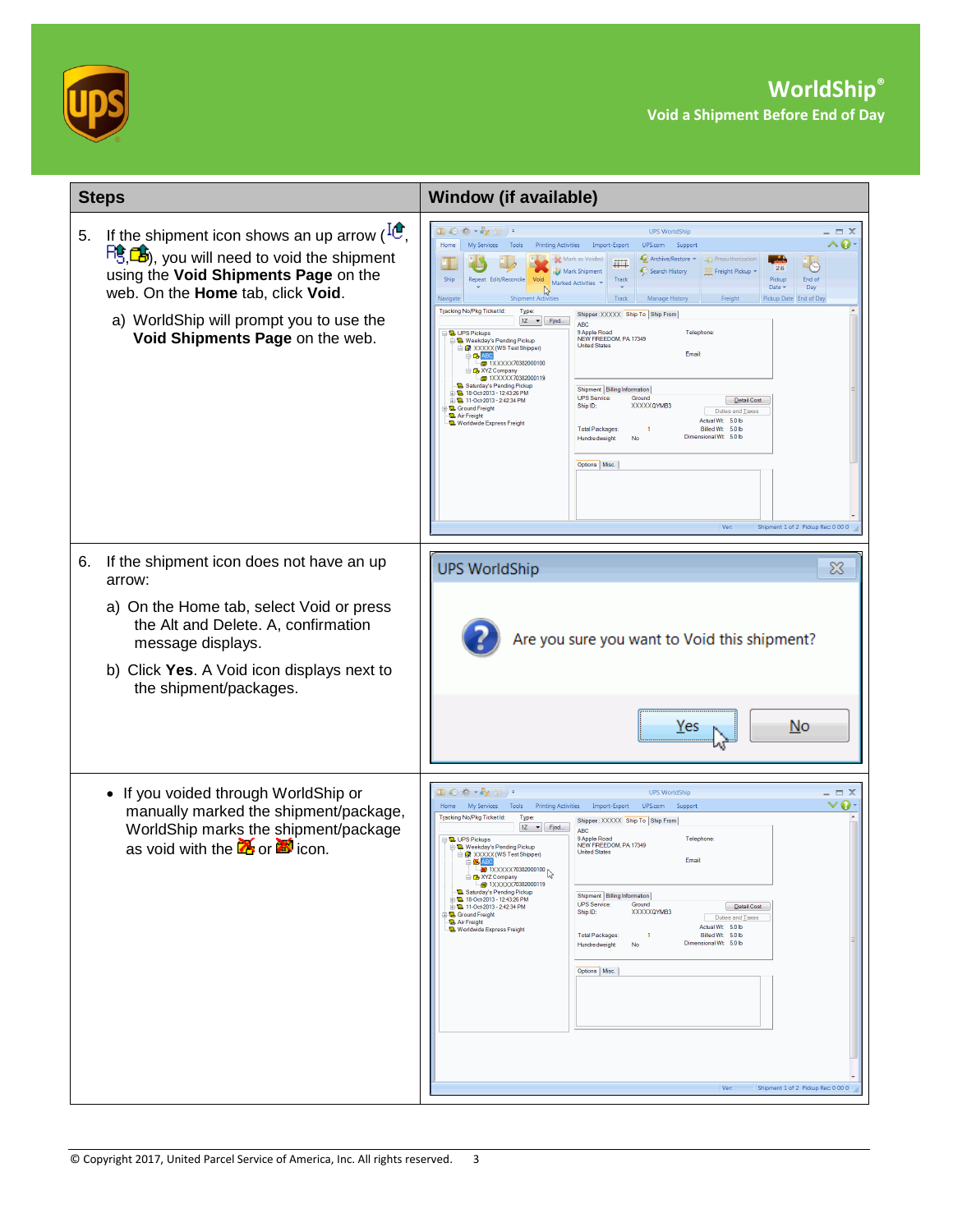



|    | <b>Steps</b>                                                                                                                                                                                                                                                                             | <b>Window (if available)</b>                                                                                                                                                                                                                                                                                                                                                                                                                                                                                                                                                                                                                                                                                                                                                                                                                                                                                                                                                                                                                                                                                                                                                                                                                                                                                                                                   |
|----|------------------------------------------------------------------------------------------------------------------------------------------------------------------------------------------------------------------------------------------------------------------------------------------|----------------------------------------------------------------------------------------------------------------------------------------------------------------------------------------------------------------------------------------------------------------------------------------------------------------------------------------------------------------------------------------------------------------------------------------------------------------------------------------------------------------------------------------------------------------------------------------------------------------------------------------------------------------------------------------------------------------------------------------------------------------------------------------------------------------------------------------------------------------------------------------------------------------------------------------------------------------------------------------------------------------------------------------------------------------------------------------------------------------------------------------------------------------------------------------------------------------------------------------------------------------------------------------------------------------------------------------------------------------|
| 5. | If the shipment icon shows an up arrow ( $^{10}$ ,<br>$\overline{HS}$ , $\overline{CS}$ ), you will need to void the shipment<br>using the Void Shipments Page on the<br>web. On the Home tab, click Void.<br>a) WorldShip will prompt you to use the<br>Void Shipments Page on the web. | 国の参・を借り<br>$\Box$ $\times$<br><b>UPS WorldShip</b><br>^0<br>My Services Tools<br>Home<br>Printing Activities Import-Export<br>UPS.com Support<br>Archive/Restore -<br>Preauthorization<br>m.<br>Œ<br>28<br>Mark Shipment<br>Search History<br>Freight Pickup<br>Shir<br>Repeat Edit/Reconcile<br>End of<br>Void<br>Track<br>Marked Activities<br>Day<br>Date v<br>W<br>Navigate<br>Track<br>Manage History<br>Freight<br>Pickup Date End of Day<br>nt Activitie<br>Tracking No/Pkg Ticket Id:<br>Type<br>Shipper: XXXXX Ship To Ship From<br>$1Z \rightarrow$ Find<br><b>ABC</b><br>9 Apple Road<br>Telephone<br><b>B</b> UPS Pickups<br>NEW FREEDOM, PA 17349<br>Weekday's Pending Pickup<br><b>United States</b><br>RE XXXXX (WS Test Shipper)<br>Email<br><b>DA</b> ABC<br>$-60$ 1XXXXX70382000100<br>XYZ Company<br>@ 1XXXXX70382000119<br>Saturday's Pending Pickup<br>Shipment   Billing Information<br><b>D.</b> 18-Oct-2013 - 12:43:26 PM<br><b>UPS</b> Service:<br>Ground<br><b>D. 11-Oct-2013 - 2:42:34 PM</b><br>Detail Cost<br>Ship ID:<br>XXXXXQYMB3<br><b>Q</b> . Ground Freight<br>Duties and Taxes<br>Air Freight<br>Actual Wt 5.0 lb<br><b>D</b> Worldwide Express Freight<br><b>Total Packages:</b><br>Billed Wt 5.0 lb<br>1<br>Dimensional Wt 5.0 lb<br>Hundredweight<br>No<br>Options   Misc.<br>Shipment 1 of 2 Pickup Rec 0 00 0<br>Ver: |
| 6. | If the shipment icon does not have an up<br>arrow:<br>a) On the Home tab, select Void or press<br>the Alt and Delete. A, confirmation<br>message displays.<br>b) Click Yes. A Void icon displays next to<br>the shipment/packages.                                                       | <b>UPS WorldShip</b><br>x<br>Are you sure you want to Void this shipment?<br>No<br>Yes                                                                                                                                                                                                                                                                                                                                                                                                                                                                                                                                                                                                                                                                                                                                                                                                                                                                                                                                                                                                                                                                                                                                                                                                                                                                         |
|    | • If you voided through WorldShip or<br>manually marked the shipment/package,<br>WorldShip marks the shipment/package<br>as void with the $\mathbb Z$ or $\mathbb Z$ icon.                                                                                                               | Ⅲ◎※・☆☆)・<br>$\equiv$ $\times$<br><b>UPS WorldShip</b><br>∨o<br>Home My Services Tools Printing Activities Import-Export UPS.com<br>Support<br>Tracking No/Pkg TicketId:<br>Type:<br>Shipper: XXXXX Ship To Ship From<br>$1Z \rightarrow$ Find<br><b>ABC</b><br>9 Apple Road<br>Telephone<br><b>B</b> UPS Pickups<br>NEW FREEDOM, PA 17349<br>Weekday's Pending Pickup<br><b>United States</b><br>AXXXX (WS Test Shipper)<br>Email<br>$\times$ ABC<br>1XXXX70382000100<br><b>B</b> XYZ Company<br><b>D</b> 1XXXXX70382000119<br>Saturday's Pending Pickup<br>Shipment   Billing Information<br><b>D. 18-Oct-2013 - 12-43-26 PM</b><br><b>UPS</b> Service:<br>Ground<br>Detail Cost<br>2-11-Oct-2013 - 2:42:34 PM<br>Ship ID:<br>XXXXXQYMB3<br><b>Q</b> . Ground Freight<br>Duties and Taxes<br>Air Freight<br>Actual Wt 5.0 lb<br>Worldwide Express Freight<br><b>Total Packages:</b><br>$\overline{1}$<br>Billed Wt 5.0 lb<br>Dimensional Wt 5.0 lb<br>Hundredweight<br>No<br>Options   Misc.<br>Shipment 1 of 2 Pickup Rec 0 00 0<br>Ver:                                                                                                                                                                                                                                                                                                                     |